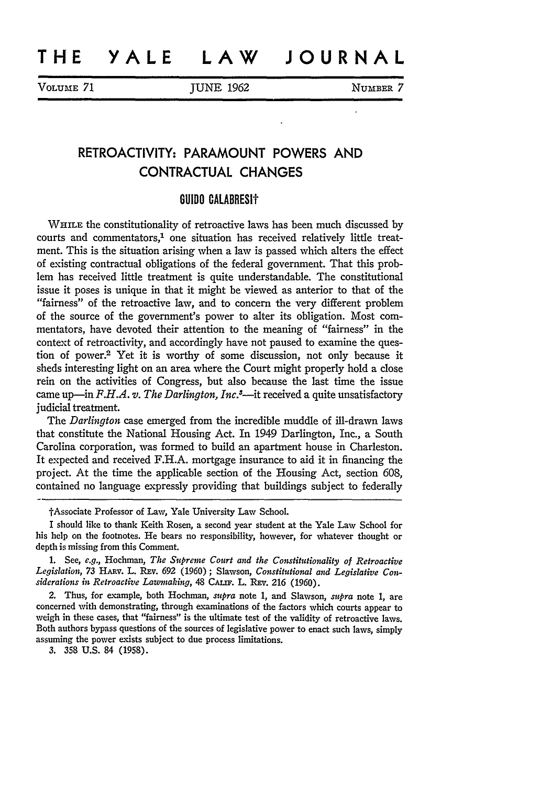VOLUME 71 **IUNE 1962 NUMBER 7** 

## RETROACTIVITY: **PARAMOUNT** POWERS **AND CONTRACTUAL CHANGES**

## **GUIDO GALABRESI<sup>+</sup>**

WHILE the constitutionality of retroactive laws has been much discussed by courts and commentators,<sup>1</sup> one situation has received relatively little treatment. This is the situation arising when a law is passed which alters the effect of existing contractual obligations of the federal government. That this problem has received little treatment is quite understandable. The constitutional issue it poses is unique in that it might be viewed as anterior to that of the "fairness" of the retroactive law, and to concern the very different problem of the source of the government's power to alter its obligation. Most commentators, have devoted their attention to the meaning of "fairness" in the context of retroactivity, and accordingly have not paused to examine the question of power.2 Yet it is worthy of some discussion, not only because it sheds interesting light on an area where the Court might properly hold a close rein on the activities of Congress, but also because the last time the issue came up-in *F.H.A. v. The Darlington, Inc.*<sup>3</sup>-it received a quite unsatisfactory judicial treatment.

The *Darlington* case emerged from the incredible muddle of ill-drawn laws that constitute the National Housing Act. In 1949 Darlington, Inc., a South Carolina corporation, was formed to build an apartment house in Charleston. It expected and received F.H.A. mortgage insurance to aid it in financing the project. At the time the applicable section of the Housing Act, section 608, contained no language expressly providing that buildings subject to federally

**1.** See, *e.g.,* Hochman, *The Supreme Court and the Constitutionality of Retroactive Legislation, 73* **HAv.** L. **REv.** 692 (1960); Slawson, *Constitutional and Legislative Considerations in Retroactive Lawmaking,* 48 CALIF. L. REV. 216 (1960).

2. Thus, for example, both Hochman, *supra* note 1, and Slawson, *supra* note 1, are concerned with demonstrating, through examinations of the factors which courts appear to weigh in these cases, that "fairness" is the ultimate test of the validity of retroactive laws. Both authors bypass questions of the sources of legislative power to enact such laws, simply assuming the power exists subject to due process limitations.

*3. 358* U.S. 84 (1958).

tAssociate Professor of Law, Yale University Law School.

I should like to thank Keith Rosen, a second year student at the Yale Law School for his help on the footnotes. He bears no responsibility, however, for whatever thought or depth is missing from this Comment.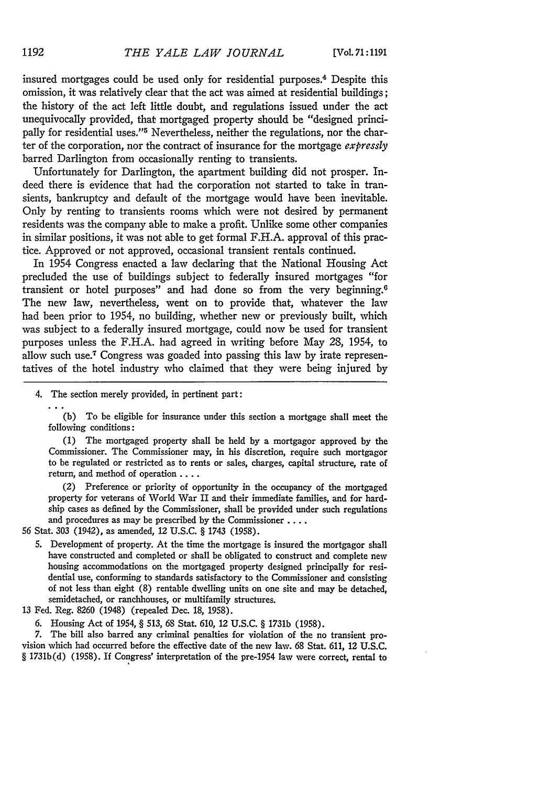insured mortgages could be used only for residential purposes.4 Despite this omission, it was relatively clear that the act was aimed at residential buildings; the history of the act left little doubt, and regulations issued under the act unequivocally provided, that mortgaged property should be "designed principally for residential uses."<sup>5</sup> Nevertheless, neither the regulations, nor the charter of the corporation, nor the contract of insurance for the mortgage *expressly* barred Darlington from occasionally renting to transients.

Unfortunately for Darlington, the apartment building did not prosper. Indeed there is evidence that had the corporation not started to take in transients, bankruptcy and default of the mortgage would have been inevitable. Only by renting to transients rooms which were not desired by permanent residents was the company able to make a profit. Unlike some other companies in similar positions, it was not able to get formal F.H.A. approval of this practice. Approved or not approved, occasional transient rentals continued.

In 1954 Congress enacted a law declaring that the National Housing Act precluded the use of buildings subject to federally insured mortgages "for transient or hotel purposes" and had done so from the very beginning.<sup>6</sup> The new law, nevertheless, went on to provide that, whatever the law had been prior to 1954, no building, whether new or previously built, which was subject to a federally insured mortgage, could now be used for transient purposes unless the F.H.A. had agreed in writing before May 28, 1954, to allow such use.<sup>7</sup> Congress was goaded into passing this law by irate representatives of the hotel industry who claimed that they were being injured by

4. The section merely provided, in pertinent part:

(b) To be eligible for insurance under this section a mortgage shall meet the following conditions:

(1) The mortgaged property shall be held by a mortgagor approved by the Commissioner. The Commissioner may, in his discretion, require such mortgagor to be regulated or restricted as to rents or sales, charges, capital structure, rate of return, and method of operation ....

(2) Preference or priority of opportunity in the occupancy of the mortgaged property for veterans of World War II and their immediate families, and for hardship cases as defined by the Commissioner, shall be provided under such regulations and procedures as may be prescribed by the Commissioner **....**

56 Stat. 303 (1942), as amended, 12 U.S.C. § 1743 (1958).

5. Development of property. At the time the mortgage is insured the mortgagor shall have constructed and completed or shall be obligated to construct and complete new housing accommodations on the mortgaged property designed principally for residential use, conforming to standards satisfactory to the Commissioner and consisting of not less than eight (8) rentable dwelling units on one site and may be detached, semidetached, or ranchhouses, or multifamily structures.

13 Fed. Reg. 8260 (1948) (repealed Dec. 18, 1958).

6. Housing Act of 1954, § 513, 68 Stat. 610, 12 U.S.C. § **1731b** (1958).

7. The bill also barred any criminal penalties for violation of the no transient provision which had occurred before the effective date of the new law. 68 Stat. 611, 12 U.S.C. § 1731b(d) (1958). If Congress' interpretation of the pre-1954 law were correct, rental to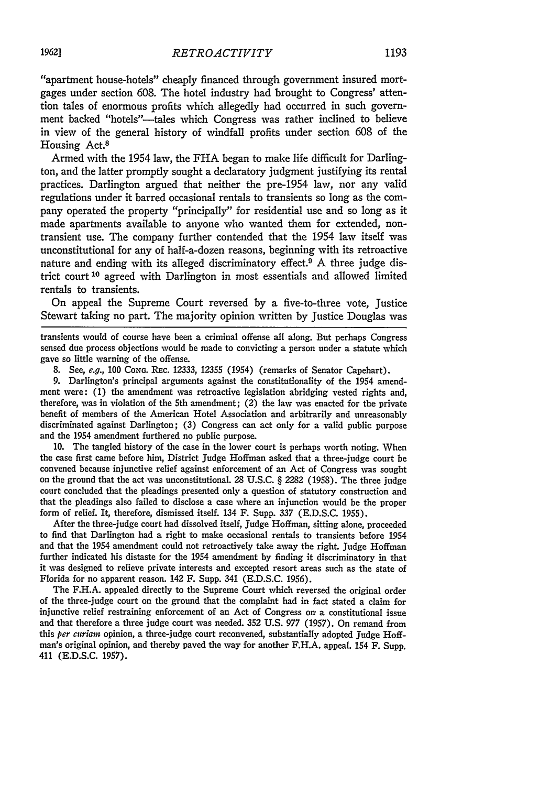## "apartment house-hotels" cheaply financed through government insured mortgages under section 608. The hotel industry had brought to Congress' attention tales of enormous profits which allegedly had occurred in such government backed "hotels"--tales which Congress was rather inclined to believe in view of the general history of windfall profits under section 608 of the Housing Act.8

Armed with the 1954 law, the **FHA** began to make life difficult for Darlington, and the latter promptly sought a declaratory judgment justifying its rental practices. Darlington argued that neither the pre-1954 law, nor any valid regulations under it barred occasional rentals to transients so long as the company operated the property "principally" for residential use and so long as it made apartments available to anyone who wanted them for extended, nontransient use. The company further contended that the 1954 law itself was unconstitutional for any of half-a-dozen reasons, beginning with its retroactive nature and ending with its alleged discriminatory effect.<sup>9</sup> A three judge district court **' <sup>0</sup>**agreed with Darlington in most essentials and allowed limited rentals to transients.

On appeal the Supreme Court reversed by a five-to-three vote, Justice Stewart taking no part. The majority opinion written by Justice Douglas was

transients would of course have been a criminal offense all along. But perhaps Congress sensed due process objections would be made to convicting a person under a statute which gave so little warning of the offense.

8. See, e.g., 100 *CONG.* REc. 12333, 12355 (1954) (remarks of Senator Capehart).

9. Darlington's principal arguments against the constitutionality of the 1954 amendment were: (1) the amendment was retroactive legislation abridging vested rights and, therefore, was in violation of the 5th amendment; (2) the law was enacted for the private benefit of members of the American Hotel Association and arbitrarily and unreasonably discriminated against Darlington; (3) Congress can act only for a valid public purpose and the 1954 amendment furthered no public purpose.

10. The tangled history of the case in the lower court is perhaps worth noting. When the case first came before him, District Judge Hoffman asked that a three-judge court be convened because injunctive relief against enforcement of an Act of Congress was sought on the ground that the act was unconstitutional. 28 U.S.C. § 2282 (1958). The three judge court concluded that the pleadings presented only a question of statutory construction and that the pleadings also failed to disclose a case where an injunction would be the proper form of relief. It, therefore, dismissed itself. 134 F. Supp. 337 (E.D.S.C. 1955).

After the three-judge court had dissolved itself, Judge Hoffman, sitting alone, proceeded to find that Darlington had a right to make occasional rentals to transients before 1954 and that the 1954 amendment could not retroactively take away the right. Judge Hoffman further indicated his distaste for the 1954 amendment by finding it discriminatory in that it was designed to relieve private interests and excepted resort areas such as the state of Florida for no apparent reason. 142 F. Supp. 341 (E.D.S.C. 1956).

The F.H.A. appealed directly to the Supreme Court which reversed the original order of the three-judge court on the ground that the complaint had in fact stated a claim for injunctive relief restraining enforcement of an Act of Congress on a constitutional issue and that therefore a three judge court was needed. 352 U.S. 977 (1957). On remand from this *per curiam* opinion, a three-judge court reconvened, substantially adopted Judge Hoffman's original opinion, and thereby paved the way for another F.H.A. appeal. 154 F. Supp. 411 (E.D.S.C. 1957).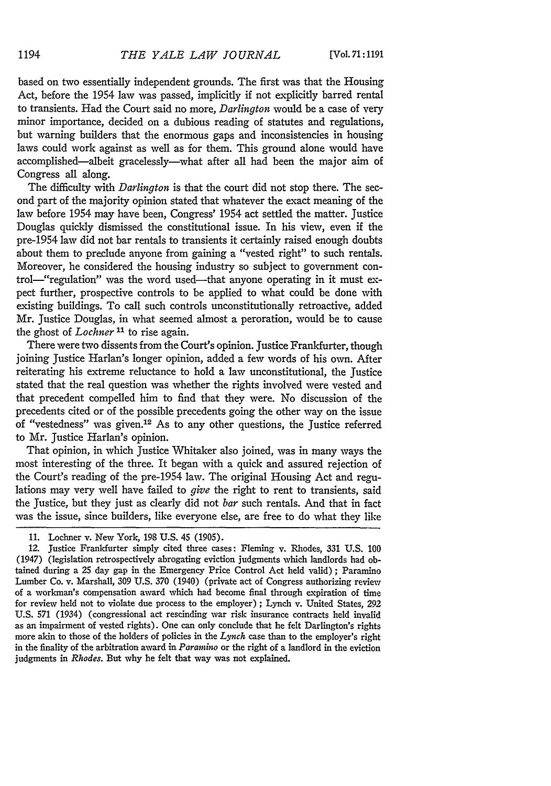based on two essentially independent grounds. The first was that the Housing Act, before the 1954 law was passed, implicitly if not explicitly barred rental to transients. Had the Court said no more, *Darlington* would be a case of very minor importance, decided on a dubious reading of statutes and regulations, but warning builders that the enormous gaps and inconsistencies in housing laws could work against as well as for them. This ground alone would have accomplished-albeit gracelessly-what after all had been the major aim of Congress all along.

The difficulty with *Darlington* is that the court did not stop there. The second part of the majority opinion stated that whatever the exact meaning of the law before 1954 may have been, Congress' 1954 act settled the matter. Justice Douglas quickly dismissed the constitutional issue. In his view, even if the pre-1954 law did not bar rentals to transients it certainly raised enough doubts about them to preclude anyone from gaining a "vested right" to such rentals. Moreover, he considered the housing industry so subject to government control-"regulation" was the word used-that anyone operating in it must expect further, prospective controls to be applied to what could be done with existing buildings. To call such controls unconstitutionally retroactive, added Mr. Justice Douglas, in what seemed almost a peroration, would be to cause the ghost of *Lochner 11* to rise again.

There were two dissents from the Court's opinion. Justice Frankfurter, though joining Justice Harlan's longer opinion, added a few words of his own. After reiterating his extreme reluctance to hold a law unconstitutional, the Justice stated that the real question was whether the rights involved were vested and that precedent compelled him to find that they were. No discussion of the precedents cited or of the possible precedents going the other way on the issue of "vestedness" was given.<sup>12</sup> As to any other questions, the Justice referred to Mr. Justice Harlan's opinion.

That opinion, in which Justice Whitaker also joined, was in many ways the most interesting of the three. It began with a quick and assured rejection of the Court's reading of the pre-1954 law. The original Housing Act and regulations may very well have failed to *give* the right to rent to transients, said the Justice, but they just as clearly did not *bar* such rentals. And that in fact was the issue, since builders, like everyone else, are free to do what they like

<sup>11.</sup> Lochner v. New York, 198 U.S. 45 (1905).

<sup>12.</sup> justice Frankfurter simply cited three cases: Fleming v. Rhodes, **331 U.S. 100** (1947) (legislation retrospectively abrogating eviction judgments which landlords had obtained during a 25 day gap in the Emergency Price Control Act held valid) ; Paramino Lumber Co. v. Marshall, 309 U.S. 370 (1940) (private act of Congress authorizing review of a workman's compensation award which had become final through expiration of time for review held not to violate due process to the employer) ; Lynch v. United States, *292* U.S. 571 (1934) (congressional act rescinding war risk insurance contracts held invalid as an impairment of vested rights). One can only conclude that he felt Darlington's rights more akin to those of the holders of policies in the *Lynch* case than to the employer's right in the finality of the arbitration award in *Paramino* or the right of a landlord in the eviction judgments in *Rhodes.* But why he felt that way was not explained.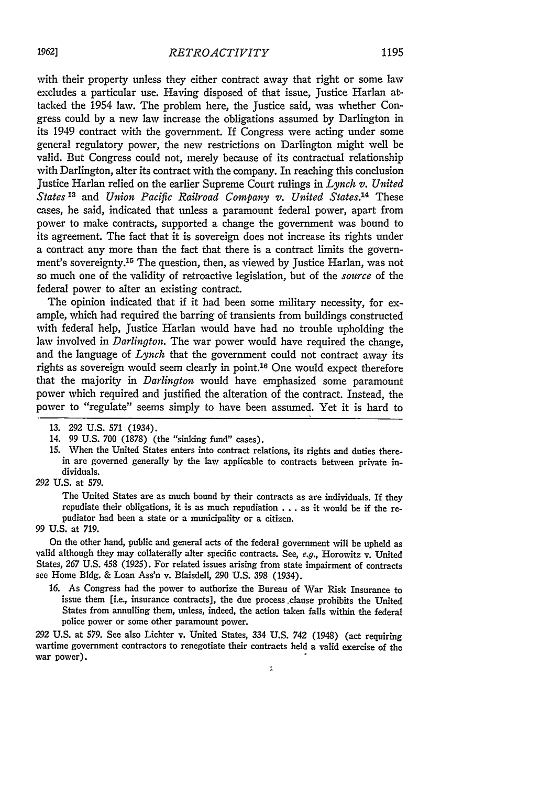with their property unless they either contract away that right or some law excludes a particular use. Having disposed of that issue, Justice Harlan attacked the 1954 law. The problem here, the Justice said, was whether Congress could by a new law increase the obligations assumed by Darlington in its 1949 contract with the government. If Congress were acting under some general regulatory power, the new restrictions on Darlington might well be valid. But Congress could not, merely because of its contractual relationship with Darlington, alter its contract with the company. In reaching this conclusion Justice Harlan relied on the earlier Supreme Court rulings in *Lynch v. United States 13* and *Union Pacific Railroad Company v. United States.4* These cases, he said, indicated that unless a paramount federal power, apart from power to make contracts, supported a change the government was bound to its agreement. The fact that it is sovereign does not increase its rights under a contract any more than the fact that there is a contract limits the government's sovereignty.<sup>15</sup> The question, then, as viewed by Justice Harlan, was not so much one of the validity of retroactive legislation, but of the *source* of the federal power to alter an existing contract.

The opinion indicated that if it had been some military necessity, for example, which had required the barring of transients from buildings constructed with federal help, Justice Harlan would have had no trouble upholding the law involved in *Darlington.* The war power would have required the change, and the language of *Lynch* that the government could not contract away its rights as sovereign would seem clearly in point.16 One would expect therefore that the majority in *Darlington* would have emphasized some paramount power which required and justified the alteration of the contract. Instead, the power to "regulate" seems simply to have been assumed. Yet it is hard to

The United States are as much bound by their contracts as are individuals. If they repudiate their obligations, it is as much repudiation **.** .. as it would be if the repudiator had been a state or a municipality or a citizen.

99 U.S. at 719.

On the other hand, public and general acts of the federal government will be upheld as valid although they may collaterally alter specific contracts. See, e.g., Horowitz v. United States, *267* U.S. 458 (1925). For related issues arising from state impairment of contracts see Home Bldg. & Loan Ass'n v. Blaisdell, 290 U.S. 398 (1934).

*16.* As Congress had the power to authorize the Bureau of War Risk Insurance to issue them [i.e., insurance contracts], the due process .clause prohibits the United States from annulling them, unless, indeed, the action taken falls within the federal police power or some other paramount power.

ţ,

292 U.S. at 579. See also Lichter v. United States, 334 U.S. 742 (1948) (act requiring wartime government contractors to renegotiate their contracts held a valid exercise of the war power).

<sup>13. 292</sup> U.S. 571 (1934).

<sup>14.</sup> **99 U.S. 700** (1878) (the "sinking fund" cases).

<sup>15.</sup> When the United States enters into contract relations, its rights and duties therein are governed generally by the law applicable to contracts between private individuals.

**<sup>292</sup> U.S.** at 579.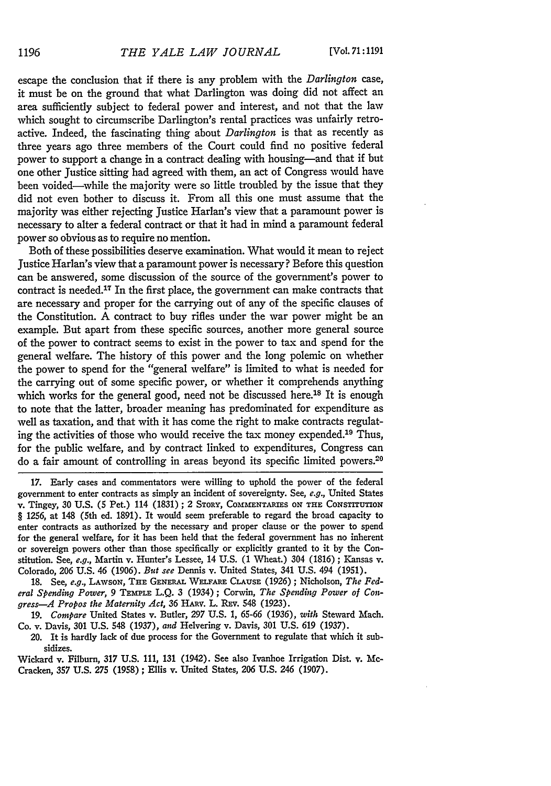escape the conclusion that if there is any problem with the *Darlington* case, it must be on the ground that what Darlington was doing did not affect an area sufficiently subject to federal power and interest, and not that the law which sought to circumscribe Darlington's rental practices was unfairly retroactive. Indeed, the fascinating thing about *Darlington* is that as recently as three years ago three members of the Court could find no positive federal power to support a change in a contract dealing with housing-and that if but one other Justice sitting had agreed with them, an act of Congress would have been voided-while the majority were so little troubled by the issue that they did not even bother to discuss it. From all this one must assume that the majority was either rejecting Justice Harlan's view that a paramount power is necessary to alter a federal contract or that it had in mind a paramount federal power so obvious as to require no mention.

Both of these possibilities deserve examination. What would it mean to reject Justice Harlan's view that a paramount power is necessary? Before this question can be answered, some discussion of the source of the government's power to contract is needed.17 In the first place, the government can make contracts that are necessary and proper for the carrying out of any of the specific clauses of the Constitution. A contract to buy rifles under the war power might be an example. But apart from these specific sources, another more general source of the power to contract seems to exist in the power to tax and spend for the general welfare. The history of this power and the long polemic on whether the power to spend for the "general welfare" is limited to what is needed for the carrying out of some specific power, or whether it comprehends anything which works for the general good, need not be discussed here.<sup>18</sup> It is enough to note that the latter, broader meaning has predominated for expenditure as well as taxation, and that with it has come the right to make contracts regulating the activities of those who would receive the tax money expended.<sup>19</sup> Thus, for the public welfare, and by contract linked to expenditures, Congress can do a fair amount of controlling in areas beyond its specific limited powers.20

17. Early cases and commentators were willing to uphold the power of the federal government to enter contracts as simply an incident of sovereignty. See,  $e.g.,$  United States v. Tingey, 30 U.S. (5 Pet.) 114 (1831); 2 STORY, COMMENTARIES ON THE CONSTITUTION *§* 1256, at 148 (5th ed. 1891). It would seem preferable to regard the broad capacity to enter contracts as authorized by the necessary and proper clause or the power to spend **for** the general welfare, for it has been held that the federal government has no inherent or sovereign powers other than those specifically or explicitly granted to it by the Constitution. See, *e.g.,* Martin v. Hunter's Lessee, 14 U.S. (1 Wheat.) 304 (1816) ; Kansas v. Colorado, 206 U.S. 46 (1906). *But see* Dennis v. United States, 341 U.S. 494 (1951).

18. See, e.g., LAWSON, THE GENERAL WELFARE CLAUSE (1926); Nicholson, *The Federal Spending Power,* 9 **TEMPLE L.Q. 3** (1934); Corwin, *The Spending Power of Congress-A Propos the Maternity Act,* 36 HARv. L. REv. 548 **(1923).**

*19. Compare* United States v. Butler, 297 U.S. *1, 65-66 (1936), with* Steward Mach. Co. v. Davis, 301 U.S. 548 (1937), *and* Helvering v. Davis, 301 U.S. 619 (1937).

20. It is hardly lack of due process for the Government to regulate that which it subsidizes.

Wickard v. Filburn, *317* U.S. 111, 131 (1942). See also Ivanhoe Irrigation Dist. v. Mc-Cracken, 357 U.S. 275 (1958) ; Ellis v. United States, 206 U.S. 246 (1907).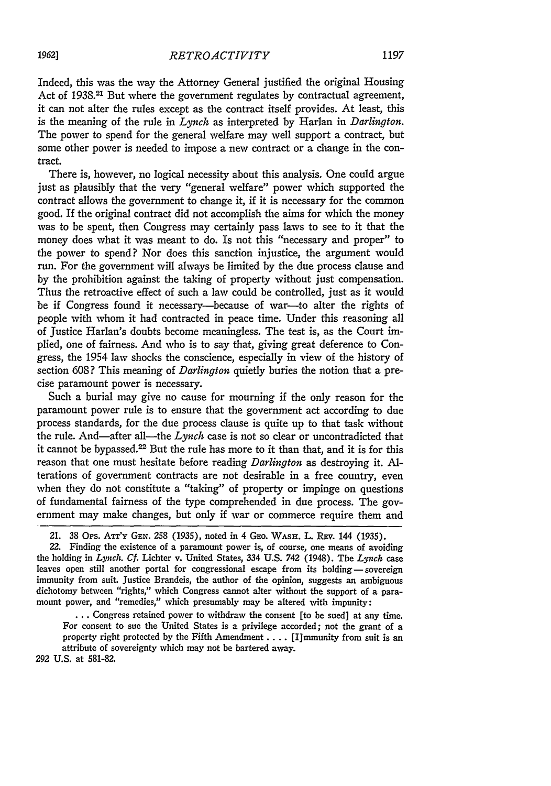Indeed, this was the way the Attorney General justified the original Housing Act of **1938.21** But where the government regulates **by** contractual agreement, it can not alter the rules except as the contract itself provides. At least, this is the meaning of the rule in *Lynch* as interpreted by Harlan in *Darlington.* The power to spend for the general welfare may well support a contract, but some other power is needed to impose a new contract or a change in the contract.

There is, however, no logical necessity about this analysis. One could argue just as plausibly that the very "general welfare" power which supported the contract allows the government to change it, if it is necessary for the common good. If the original contract did not accomplish the aims for which the money was to be spent, then Congress may certainly pass laws to see to it that the money does what it was meant to do. Is not this "necessary and proper" to the power to spend? Nor does this sanction injustice, the argument would run. For the government will always be limited by the due process clause and by the prohibition against the taking of property without just compensation. Thus the retroactive effect of such a law could be controlled, just as it would be if Congress found it necessary-because of war-to alter the rights of people with whom it had contracted in peace time. Under this reasoning all of Justice Harlan's doubts become meaningless. The test is, as the Court implied, one of fairness. And who is to say that, giving great deference to Congress, the 1954 law shocks the conscience, especially in view of the history of section 608? This meaning of *Darlington* quietly buries the notion that a precise paramount power is necessary.

Such a burial may give no cause for mourning if the only reason for the paramount power rule is to ensure that the government act according to due process standards, for the due process clause is quite up to that task without the rule. And—after all—the *Lynch* case is not so clear or uncontradicted that it cannot be bypassed.<sup>22</sup> But the rule has more to it than that, and it is for this reason that one must hesitate before reading *Darlington* as destroying it. Alterations of government contracts are not desirable in a free country, even when they do not constitute a "taking" of property or impinge on questions of fundamental fairness of the type comprehended in due process. The government may make changes, but only if war or commerce require them and

**...** Congress retained power to withdraw the consent [to be sued] at any time. For consent to sue the United States is a privilege accorded; not the grant of a property right protected **by** the Fifth Amendment .... [Ijmmunity from suit is an attribute of sovereignty which may not be bartered away. 292 **U.S.** at **581-82.**

<sup>21. 38</sup> Ors. AVr'Y **GEN.** 258 (1935), noted in 4 GEo. WAsH. L. REv. 144 **(1935).**

<sup>22.</sup> Finding the existence of a paramount power is, of course, one means of avoiding the holding in *Lynch. Cf.* Lichter v. United States, 334 **U.S.** 742 (1948). The *Lynch* case leaves open still another portal for congressional escape from its holding-sovereign immunity from suit. Justice Brandeis, the author of the opinion, suggests an ambiguous dichotomy between "rights," which Congress cannot alter without the support of a paramount power, and "remedies," which presumably may be altered with impunity: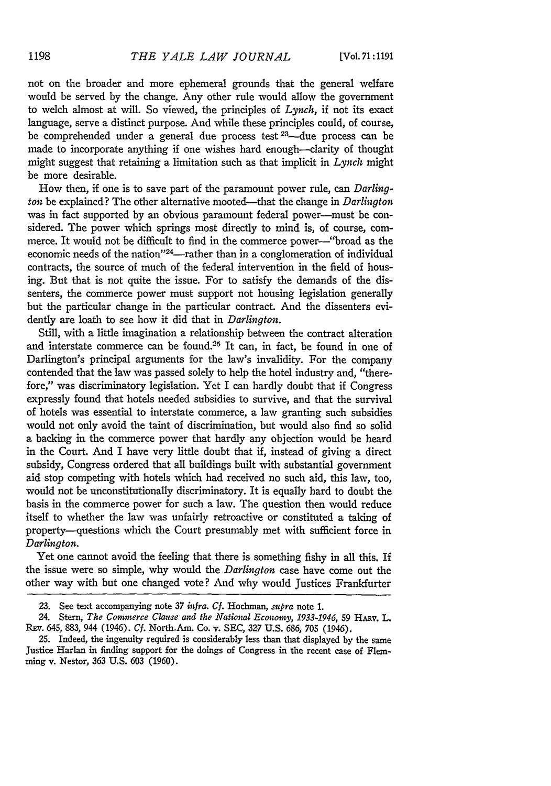not on the broader and more ephemeral grounds that the general welfare would be served by the change. Any other rule would allow the government to welch almost at will. So viewed, the principles of *Lynch,* if not its exact language, serve a distinct purpose. And while these principles could, of course, be comprehended under a general due process test 23-due process can be made to incorporate anything if one wishes hard enough-clarity of thought might suggest that retaining a limitation such as that implicit in *Lynch* might be more desirable.

How then, if one is to save part of the paramount power rule, can *Darlington* be explained? The other alternative mooted-that the change in *Darlington* was in fact supported by an obvious paramount federal power-must be considered. The power which springs most directly to mind is, of course, commerce. It would not be difficult to find in the commerce power--"broad as the economic needs of the nation"<sup>24</sup>-rather than in a conglomeration of individual contracts, the source of much of the federal intervention in the field of housing. But that is not quite the issue. For to satisfy the demands of the dissenters, the commerce power must support not housing legislation generally but the particular change in the particular contract. And the dissenters evidently are loath to see how it did that in *Darlington.*

Still, with a little imagination a relationship between the contract alteration and interstate commerce can be found.<sup>25</sup> It can, in fact, be found in one of Darlington's principal arguments for the law's invalidity. For the company contended that the law was passed solely to help the hotel industry and, "therefore," was discriminatory legislation. Yet I can hardly doubt that if Congress expressly found that hotels needed subsidies to survive, and that the survival of hotels was essential to interstate commerce, a law granting such subsidies would not only avoid the taint of discrimination, but would also find so solid a backing in the commerce power that hardly any objection would be heard in the Court. And I have very little doubt that if, instead of giving a direct subsidy, Congress ordered that all buildings built with substantial government aid stop competing with hotels which had received no such aid, this law, too, would not be unconstitutionally discriminatory. It is equally hard to doubt the basis in the commerce power for such a law. The question then would reduce itself to whether the law was unfairly retroactive or constituted a taking of property-questions which the Court presumably met with sufficient force in *Darlington.*

Yet one cannot avoid the feeling that there is something fishy in all this. If the issue were so simple, why would the *Darlington* case have come out the other way with but one changed vote? And why would justices Frankfurter

25. Indeed, the ingenuity required is considerably less than that displayed by the same Justice Harlan in finding support for the doings of Congress in the recent case of Flemming v. Nestor, 363 U.S. 603 (1960).

<sup>23.</sup> See text accompanying note 37 *infra. Cf.* Hochman, *supra* note 1.

<sup>24.</sup> Stern, *The Commerce Clause and the National Economy, 1933-1946,* 59 HAv. L. REv. 645, 883, 944 (1946). *Cf.* North.Am. Co. v. SEC, 327 **U.S.** *686,* **705** (1946).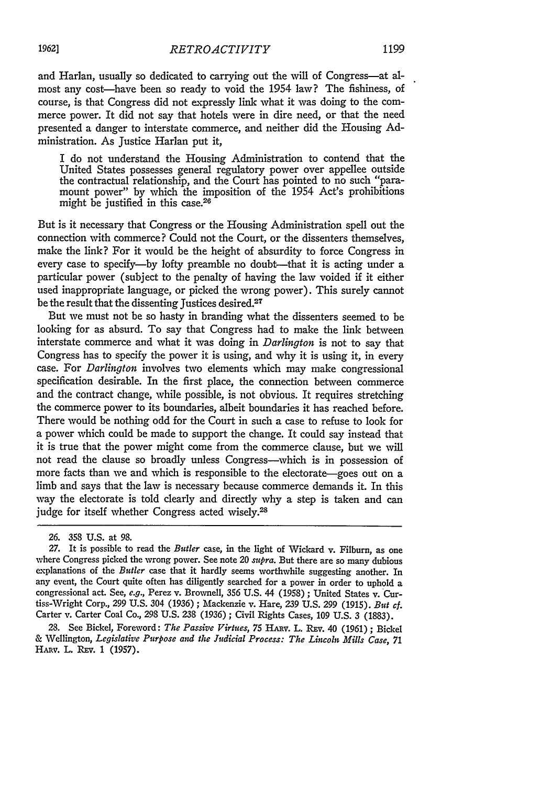and Harlan, usually so dedicated to carrying out the will of Congress-at almost any cost-have been so ready to void the 1954 law? The fishiness, of course, is that Congress did not expressly link what it was doing to the commerce power. It did not say that hotels were in dire need, or that the need presented a danger to interstate commerce, and neither did the Housing **Ad**ministration. As Justice Harlan put it,

I do not understand the Housing Administration to contend that the United States possesses general regulatory power over appellee outside the contractual relationship, and the Court has pointed to no such "paramount power" by which the imposition of the 1954 Act's prohibitions might be justified in this case.<sup>26</sup>

But is it necessary that Congress or the Housing Administration spell out the connection with commerce? Could not the Court, or the dissenters themselves, make the link? For it would be the height of absurdity to force Congress in every case to specify—by lofty preamble no doubt—that it is acting under a particular power (subject to the penalty of having the law voided if it either used inappropriate language, or picked the wrong power). This surely cannot be the result that the dissenting Justices desired.<sup>27</sup>

But we must not be so hasty in branding what the dissenters seemed to be looking for as absurd. To say that Congress had to make the link between interstate commerce and what it was doing in *Darlington* is not to say that Congress has to specify the power it is using, and why it is using it, in every case. For *Darlington* involves two elements which may make congressional specification desirable. In the first place, the connection between commerce and the contract change, while possible, is not obvious. It requires stretching the commerce power to its boundaries, albeit boundaries it has reached before. There would be nothing odd for the Court in such a case to refuse to look for a power which could be made to support the change. It could say instead that it is true that the power might come from the commerce clause, but we will not read the clause so broadly unless Congress-which is in possession of more facts than we and which is responsible to the electorate-goes out on a limb and says that the law is necessary because commerce demands it. In this way the electorate is told clearly and directly why a step is taken and can judge for itself whether Congress acted wisely.<sup>28</sup>

28. See Bickel, Foreword: *The Passive Virtues*, 75 HARV. L. REV. 40 (1961); Bickel & Wellington, *Legislative Purpose and the Judicial Process: The Lincoln Mills Case,* **71** HAnv. L. **REv. 1** (1957).

*<sup>26.</sup>* **358 U.S.** at **98.**

**<sup>27.</sup>** It is possible to read the *Butler* case, in the light of Wickard v. Filburn, as one where Congress picked the wrong power. See note 20 *supra.* But there are so many dubious explanations of the *Butler* case that it hardly seems worthwhile suggesting another. In any event, the Court quite often has diligently searched for a power in order to uphold a congressional act. See, e.g., Perez v. Brownell, 356 U.S. 44 (1958) ; United States v. Curtiss-Wright Corp., 299 U.S. 304 (1936) ; Mackenzie v. Hare, 239 U.S. 299 (1915). *But cf.* Carter v. Carter Coal Co., 298 U.S. 238 (1936) ; Civil Rights Cases, **109** U.S. 3 (1883).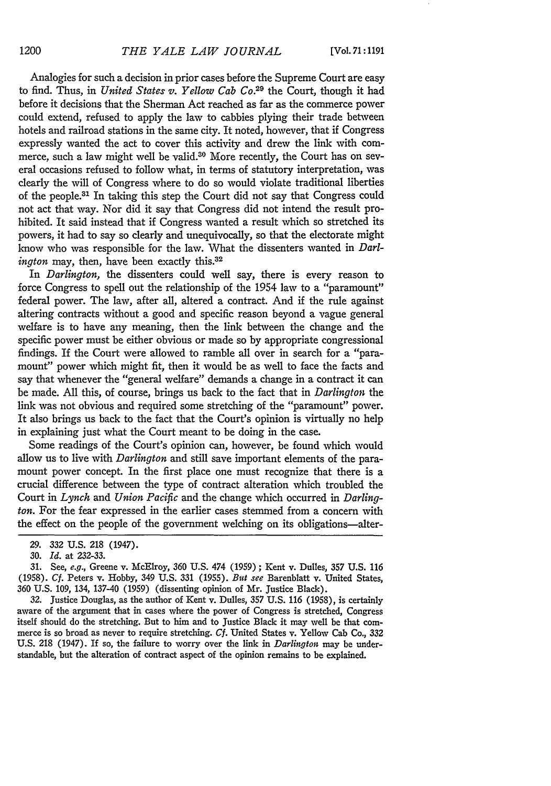Analogies for such a decision in prior cases before the Supreme Court are easy to find. Thus, in *United States v. Yellow Cab Co.29* the Court, though it had before it decisions that the Sherman Act reached as far as the commerce power could extend, refused to apply the law to cabbies plying their trade between hotels and railroad stations in the same city. It noted, however, that if Congress expressly wanted the act to cover this activity and drew the link with commerce, such a law might well be valid.<sup>30</sup> More recently, the Court has on several occasions refused to follow what, in terms of statutory interpretation, was clearly the will of Congress where to do so would violate traditional liberties of the people.<sup>31</sup> In taking this step the Court did not say that Congress could not act that way. Nor did it say that Congress did not intend the result prohibited. It said instead that if Congress wanted a result which so stretched its powers, it had to say so clearly and unequivocally, so that the electorate might know who was responsible for the law. What the dissenters wanted in *Darlington* may, then, have been exactly this.<sup>32</sup>

In *Darlington,* the dissenters could well say, there is every reason to force Congress to spell out the relationship of the 1954 law to a "paramount" federal power. The law, after all, altered a contract. And if the rule against altering contracts without a good and specific reason beyond a vague general welfare is to have any meaning, then the link between the change and the specific power must be either obvious or made so by appropriate congressional findings. If the Court were allowed to ramble all over in search for a "paramount" power which might fit, then it would be as well to face the facts and say that whenever the "general welfare" demands a change in a contract it can be made. All this, of course, brings us back to the fact that in *Darlington* the link was not obvious and required some stretching of the "paramount" power. It also brings us back to the fact that the Court's opinion is virtually no help in explaining just what the Court meant to be doing in the case.

Some readings of the Court's opinion can, however, be found which would allow us to live with *Darlington* and still save important elements of the paramount power concept. In the first place one must recognize that there is a crucial difference between the type of contract alteration which troubled the Court in *Lynch* and *Union Pacific* and the change which occurred in *Darlington.* For the fear expressed in the earlier cases stemmed from a concern with the effect on the people of the government welching on its obligations-alter-

32. Justice Douglas, as the author of Kent v. Dulles, 357 U.S. 116 (1958), is certainly aware of the argument that in cases where the power of Congress is stretched, Congress itself should do the stretching. But to him and to Justice Black it may well be that commerce is so broad as never to require stretching. *Cf.* United States v. Yellow Cab Co., 332 U.S. 218 (1947). If so, the failure to worry over the link in *Darlington* may be understandable, but the alteration of contract aspect of the opinion remains to be explained.

<sup>29. 332</sup> U.S. 218 (1947).

*<sup>30.</sup> Id.* at 232-33.

<sup>31.</sup> See, *e.g.,* Greene v. McElroy, 360 U.S. 474 (1959) ; Kent v. Dulles, 357 U.S. 116 (1958). Cf. Peters v. Hobby, 349 U.S. 331 (1955). But *see* Barenblatt v. United States, 360 U.S. 109, 134, 137-40 (1959) (dissenting opinion of Mr. justice Black).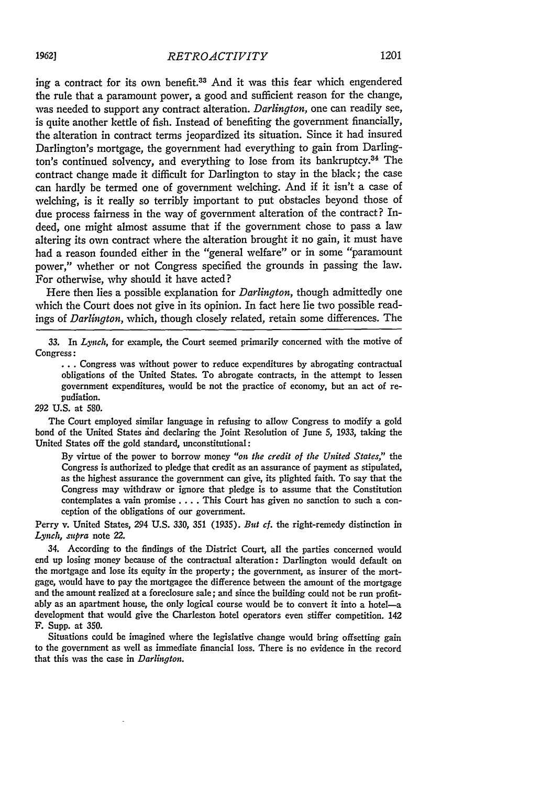ing a contract for its own benefit.<sup>33</sup> And it was this fear which engendered the rule that a paramount power, a good and sufficient reason for the change, was needed to support any contract alteration. *Darlington,* one can readily see, is quite another kettle of fish. Instead of benefiting the government financially, the alteration in contract terms jeopardized its situation. Since it had insured Darlington's mortgage, the government had everything to gain from Darlington's continued solvency, and everything to lose from its bankruptcy.<sup>34</sup> The contract change made it difficult for Darlington to stay in the black; the case can hardly be termed one of government welching. And if it isn't a case of welching, is it really so terribly important to put obstacles beyond those of due process fairness in the way of government alteration of the contract? Indeed, one might almost assume that if the government chose to pass a law altering its own contract where the alteration brought it no gain, it must have had a reason founded either in the "general welfare" or in some "paramount power," whether or not Congress specified the grounds in passing the law. For otherwise, why should it have acted?

Here then lies a possible explanation for *Darlington,* though admittedly one which the Court does not give in its opinion. In fact here lie two possible readings of *Darlington,* which, though closely related, retain some differences. The

**33.** In *Lynch,* for example, the Court seemed primarily concerned with the motive of Congress:

**,** . . Congress was without power to reduce expenditures by abrogating contractual obligations of the United States. To abrogate contracts, in the attempt to lessen government expenditures, would be not the practice of economy, but an act of repudiation.

292 U.S. at 580.

The Court employed similar language in refusing to allow Congress to modify a gold bond of the United States nd declaring the Joint Resolution of June *5,* 1933, taking the United States off the gold standard, unconstitutional:

By virtue of the power to borrow money *"on the credit of the United States," the* Congress is authorized to pledge that credit as an assurance of payment as stipulated, as the highest assurance the government can give, its plighted faith. To say that the Congress may withdraw or ignore that pledge is to assume that the Constitution contemplates a vain promise .... This Court has given no sanction to such a conception of the obligations of our government.

Perry v. United States, 294 U.S. 330, 351 (1935). *But cf.* the right-remedy distinction in *Lynch, supra* note 22.

34. According to the findings of the District Court, all the parties concerned would end up losing money because of the contractual alteration: Darlington would default on the mortgage and lose its equity in the property; the government, as insurer of the mortgage, would have to pay the mortgagee the difference between the amount of the mortgage and the amount realized at a foreclosure sale; and since the building could not be run profitably as an apartment house, the only logical course would be to convert it into a hotel-a development that would give the Charleston hotel operators even stiffer competition. 142 F. Supp. at **350.**

Situations could be imagined where the legislative change would bring offsetting gain to the government as well as immediate financial loss. There is no evidence in the record that this was the case in *Darlington.*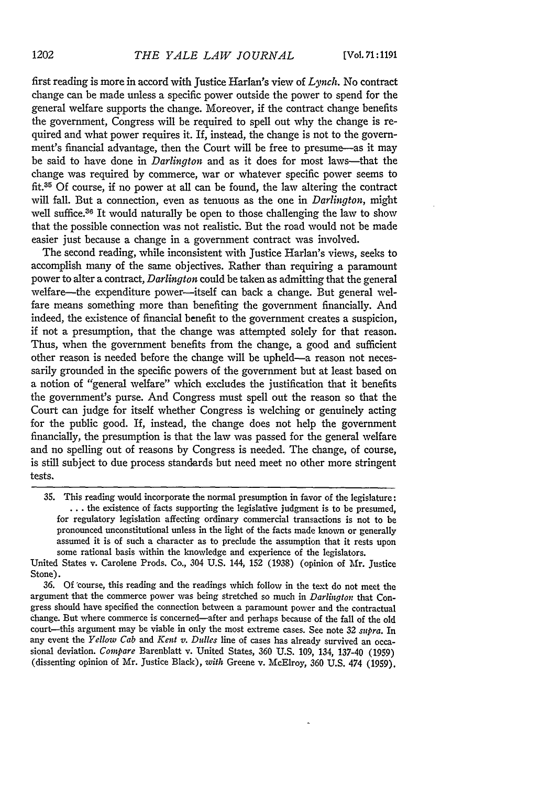first reading is more in accord with Justice Harlan's view of *Lynch.* No contract change can be made unless a specific power outside the power to spend for the general welfare supports the change. Moreover, if the contract change benefits the government, Congress will be required to spell out why the change is required and what power requires it. If, instead, the change is not to the government's financial advantage, then the Court will be free to presume-as it may be said to have done in *Darlington* and as it does for most laws-that the change was required by commerce, war or whatever specific power seems to fit.<sup>35</sup> Of course, if no power at all can be found, the law altering the contract will fall. But a connection, even as tenuous as the one in *Darlington,* might well suffice.<sup>36</sup> It would naturally be open to those challenging the law to show that the possible connection was not realistic. But the road would not be made easier just because a change in a government contract was involved.

The second reading, while inconsistent with Justice Harlan's views, seeks to accomplish many of the same objectives. Rather than requiring a paramount power to alter a contract, *Darlington* could be taken as admitting that the general welfare-the expenditure power-itself can back a change. But general welfare means something more than benefiting the government financially. And indeed, the existence of financial benefit to the government creates a suspicion, if not a presumption, that the change was attempted solely for that reason. Thus, when the government benefits from the change, a good and sufficient other reason is needed before the change will be upheld-a reason not necessarily grounded in the specific powers of the government but at least based on a notion of "general welfare" which excludes the justification that it benefits the government's purse. And Congress must spell out the reason so that the Court can judge for itself whether Congress is welching or genuinely acting for the public good. If, instead, the change does not help the government financially, the presumption is that the law was passed for the general welfare and no spelling out of reasons by Congress is needed. The change, of course, is still subject to due process standards but need meet no other more stringent tests.

**<sup>35.</sup>** This reading would incorporate the normal presumption in favor of the legislature: **...** the existence of facts supporting the legislative judgment is to be presumed, for regulatory legislation affecting ordinary commercial transactions is not to be pronounced unconstitutional unless in the light of the facts made known or generally assumed it is of such a character as to preclude the assumption that it rests upon some rational basis within the knowledge and experience of the legislators.

United States v. Carolene Prods. Co., 304 U.S. 144, **152** (1938) (opinion of Mr. Justice Stone).

<sup>36.</sup> Of 'course, this reading and the readings which follow in the text do not meet the argument that the commerce power was being stretched so much in *Darlington* that Congress should have specified the connection between a paramount power and the contractual change. But where commerce is concerned-after and perhaps because of the fall of the old court-this argument may be viable in only the most extreme cases. See note **32** *supra.* In any event the *Yellow Cab and Kent v. Dulles* line of cases has already survived an occasional deviation. *Compare* Barenblatt v. United States, 360 U.S. 109, 134, 137-40 (1959) (dissenting opinion of Mr. Justice Black), *with* Greene v. McElroy, 360 U.S. 474 (1959).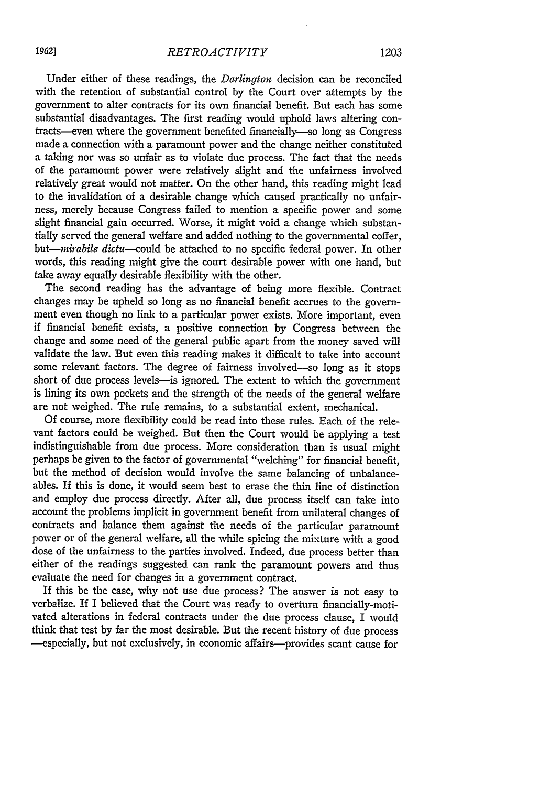Under either of these readings, the *Darlington* decision can be reconciled with the retention of substantial control by the Court over attempts by the government to alter contracts for its own financial benefit. But each has some substantial disadvantages. The first reading would uphold laws altering contracts-even where the government benefited financially-so long as Congress made a connection with a paramount power and the change neither constituted a taking nor was so unfair as to violate due process. The fact that the needs of the paramount power were relatively slight and the unfairness involved relatively great would not matter. On the other hand, this reading might lead to the invalidation of a desirable change which caused practically no unfairness, merely because Congress failed to mention a specific power and some slight financial gain occurred. Worse, it might void a change which substantially served the general welfare and added nothing to the governmental coffer, *but-nmirabile* dictu-could be attached to no specific federal power. In other words, this reading might give the court desirable power with one hand, but take away equally desirable flexibility with the other.

The second reading has the advantage of being more flexible. Contract changes may be upheld so long as no financial benefit accrues to the government even though no link to a particular power exists. More important, even if financial benefit exists, a positive connection by Congress between the change and some need of the general public apart from the money saved will validate the law. But even this reading makes it difficult to take into account some relevant factors. The degree of fairness involved-so long as it stops short of due process levels-is ignored. The extent to which the government is lining its own pockets and the strength of the needs of the general welfare are not weighed. The rule remains, to a substantial extent, mechanical.

Of course, more flexibility could be read into these rules. Each of the relevant factors could be weighed. But then the Court would be applying a test indistinguishable from due process. More consideration than is usual might perhaps be given to the factor of governmental "welching" for financial benefit, but the method of decision would involve the same balancing of unbalanceables. If this is done, it would seem best to erase the thin line of distinction and employ due process directly. After all, due process itself can take into account the problems implicit in government benefit from unilateral changes of contracts and balance them against the needs of the particular paramount power or of the general welfare, all the while spicing the mixture with a good dose of the unfairness to the parties involved. Indeed, due process better than either of the readings suggested can rank the paramount powers and thus evaluate the need for changes in a government contract.

If this be the case, why not use due process? The answer is not easy to verbalize. If I believed that the Court was ready to overturn financially-motivated alterations in federal contracts under the due process clause, I would think that test by far the most desirable. But the recent history of due process -especially, but not exclusively, in economic affairs-provides scant cause for